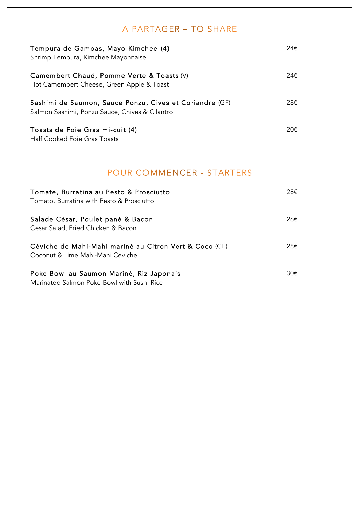## A PARTAGER - TO SHARE

| Tempura de Gambas, Mayo Kimchee (4)<br>Shrimp Tempura, Kimchee Mayonnaise                                 | 24€ |
|-----------------------------------------------------------------------------------------------------------|-----|
| Camembert Chaud, Pomme Verte & Toasts (V)<br>Hot Camembert Cheese, Green Apple & Toast                    | 24€ |
| Sashimi de Saumon, Sauce Ponzu, Cives et Coriandre (GF)<br>Salmon Sashimi, Ponzu Sauce, Chives & Cilantro | 28€ |
| Toasts de Foie Gras mi-cuit (4)<br>Half Cooked Foie Gras Toasts                                           | 20€ |
| <b>POUR COMMENCER - STARTERS</b>                                                                          |     |
| Tomate, Burratina au Pesto & Prosciutto<br>Tomato, Burratina with Pesto & Prosciutto                      | 28€ |
| Salade César, Poulet pané & Bacon<br>Cesar Salad, Fried Chicken & Bacon                                   | 26€ |
| Céviche de Mahi-Mahi mariné au Citron Vert & Coco (GF)<br>Coconut & Lime Mahi-Mahi Ceviche                | 28€ |
| Poke Bowl au Saumon Mariné, Riz Japonais                                                                  | 30€ |

Marinated Salmon Poke Bowl with Sushi Rice